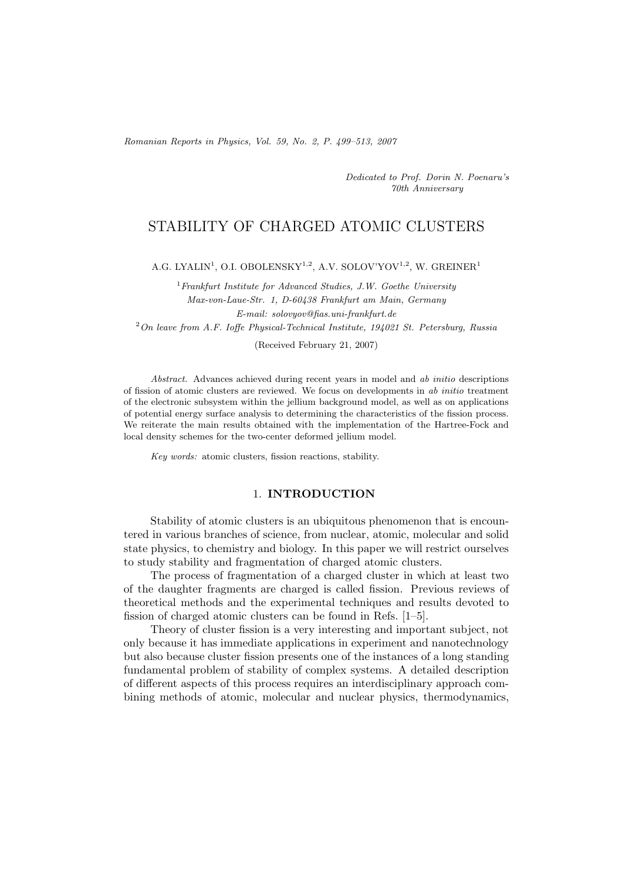Romanian Reports in Physics, Vol. 59, No. 2, P. 499–513, 2007

Dedicated to Prof. Dorin N. Poenaru's 70th Anniversary

# STABILITY OF CHARGED ATOMIC CLUSTERS

A.G. LYALIN<sup>1</sup>, O.I. OBOLENSKY<sup>1,2</sup>, A.V. SOLOV'YOV<sup>1,2</sup>, W. GREINER<sup>1</sup>

 $1$  Frankfurt Institute for Advanced Studies, J.W. Goethe University Max-von-Laue-Str. 1, D-60438 Frankfurt am Main, Germany E-mail: solovyov@fias.uni-frankfurt.de  $2$ On leave from A.F. Ioffe Physical-Technical Institute, 194021 St. Petersburg, Russia

(Received February 21, 2007)

Abstract. Advances achieved during recent years in model and ab initio descriptions of fission of atomic clusters are reviewed. We focus on developments in ab initio treatment of the electronic subsystem within the jellium background model, as well as on applications of potential energy surface analysis to determining the characteristics of the fission process. We reiterate the main results obtained with the implementation of the Hartree-Fock and local density schemes for the two-center deformed jellium model.

Key words: atomic clusters, fission reactions, stability.

# 1. **INTRODUCTION**

Stability of atomic clusters is an ubiquitous phenomenon that is encountered in various branches of science, from nuclear, atomic, molecular and solid state physics, to chemistry and biology. In this paper we will restrict ourselves to study stability and fragmentation of charged atomic clusters.

The process of fragmentation of a charged cluster in which at least two of the daughter fragments are charged is called fission. Previous reviews of theoretical methods and the experimental techniques and results devoted to fission of charged atomic clusters can be found in Refs. [1–5].

Theory of cluster fission is a very interesting and important subject, not only because it has immediate applications in experiment and nanotechnology but also because cluster fission presents one of the instances of a long standing fundamental problem of stability of complex systems. A detailed description of different aspects of this process requires an interdisciplinary approach combining methods of atomic, molecular and nuclear physics, thermodynamics,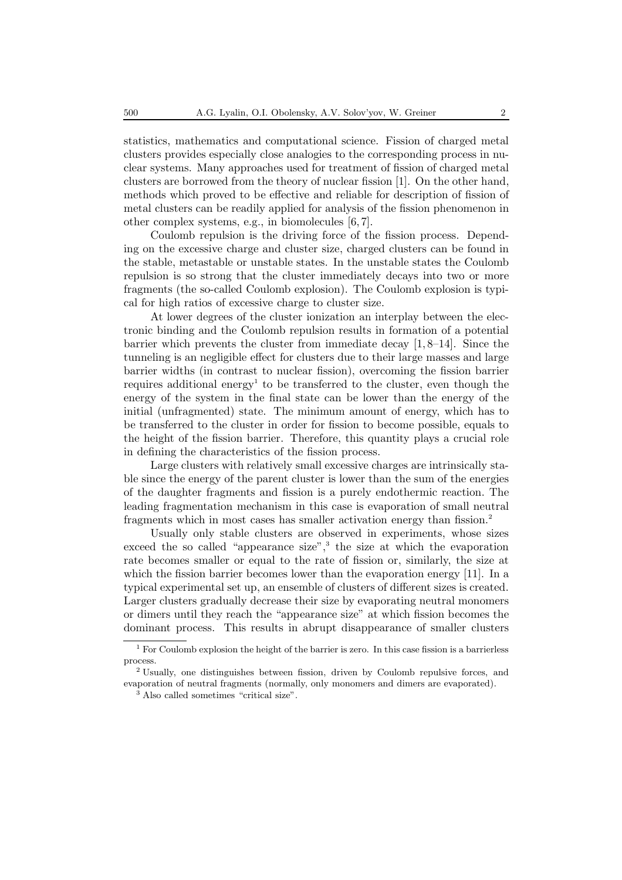statistics, mathematics and computational science. Fission of charged metal clusters provides especially close analogies to the corresponding process in nuclear systems. Many approaches used for treatment of fission of charged metal clusters are borrowed from the theory of nuclear fission [1]. On the other hand, methods which proved to be effective and reliable for description of fission of metal clusters can be readily applied for analysis of the fission phenomenon in other complex systems, e.g., in biomolecules [6, 7].

Coulomb repulsion is the driving force of the fission process. Depending on the excessive charge and cluster size, charged clusters can be found in the stable, metastable or unstable states. In the unstable states the Coulomb repulsion is so strong that the cluster immediately decays into two or more fragments (the so-called Coulomb explosion). The Coulomb explosion is typical for high ratios of excessive charge to cluster size.

At lower degrees of the cluster ionization an interplay between the electronic binding and the Coulomb repulsion results in formation of a potential barrier which prevents the cluster from immediate decay  $[1, 8-14]$ . Since the tunneling is an negligible effect for clusters due to their large masses and large barrier widths (in contrast to nuclear fission), overcoming the fission barrier requires additional energy<sup>1</sup> to be transferred to the cluster, even though the energy of the system in the final state can be lower than the energy of the initial (unfragmented) state. The minimum amount of energy, which has to be transferred to the cluster in order for fission to become possible, equals to the height of the fission barrier. Therefore, this quantity plays a crucial role in defining the characteristics of the fission process.

Large clusters with relatively small excessive charges are intrinsically stable since the energy of the parent cluster is lower than the sum of the energies of the daughter fragments and fission is a purely endothermic reaction. The leading fragmentation mechanism in this case is evaporation of small neutral fragments which in most cases has smaller activation energy than fission.<sup>2</sup>

Usually only stable clusters are observed in experiments, whose sizes exceed the so called "appearance size", $3$  the size at which the evaporation rate becomes smaller or equal to the rate of fission or, similarly, the size at which the fission barrier becomes lower than the evaporation energy [11]. In a typical experimental set up, an ensemble of clusters of different sizes is created. Larger clusters gradually decrease their size by evaporating neutral monomers or dimers until they reach the "appearance size" at which fission becomes the dominant process. This results in abrupt disappearance of smaller clusters

<sup>&</sup>lt;sup>1</sup> For Coulomb explosion the height of the barrier is zero. In this case fission is a barrierless process.

<sup>2</sup> Usually, one distinguishes between fission, driven by Coulomb repulsive forces, and evaporation of neutral fragments (normally, only monomers and dimers are evaporated).

<sup>3</sup> Also called sometimes "critical size".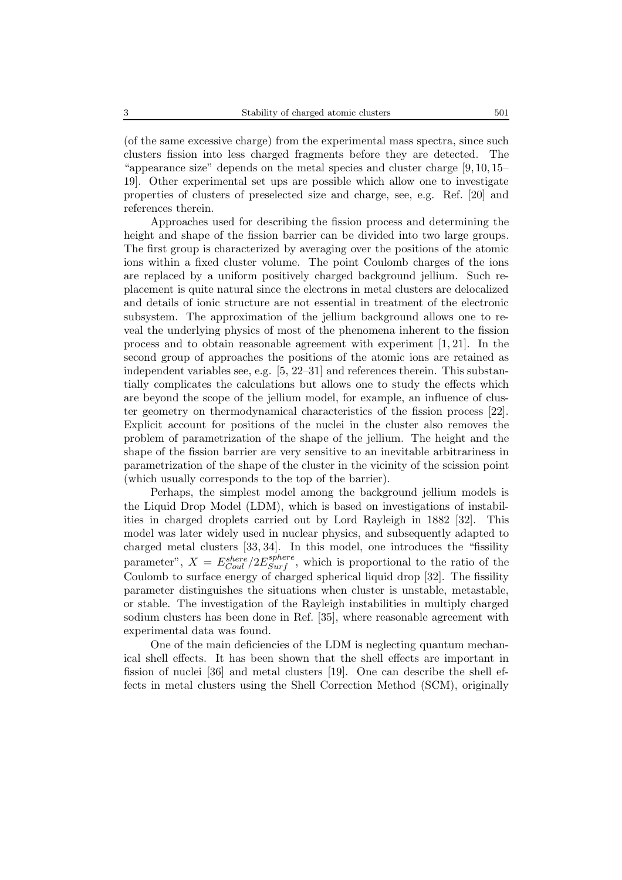(of the same excessive charge) from the experimental mass spectra, since such clusters fission into less charged fragments before they are detected. The "appearance size" depends on the metal species and cluster charge [9, 10, 15– 19]. Other experimental set ups are possible which allow one to investigate properties of clusters of preselected size and charge, see, e.g. Ref. [20] and references therein.

Approaches used for describing the fission process and determining the height and shape of the fission barrier can be divided into two large groups. The first group is characterized by averaging over the positions of the atomic ions within a fixed cluster volume. The point Coulomb charges of the ions are replaced by a uniform positively charged background jellium. Such replacement is quite natural since the electrons in metal clusters are delocalized and details of ionic structure are not essential in treatment of the electronic subsystem. The approximation of the jellium background allows one to reveal the underlying physics of most of the phenomena inherent to the fission process and to obtain reasonable agreement with experiment [1, 21]. In the second group of approaches the positions of the atomic ions are retained as independent variables see, e.g. [5, 22–31] and references therein. This substantially complicates the calculations but allows one to study the effects which are beyond the scope of the jellium model, for example, an influence of cluster geometry on thermodynamical characteristics of the fission process [22]. Explicit account for positions of the nuclei in the cluster also removes the problem of parametrization of the shape of the jellium. The height and the shape of the fission barrier are very sensitive to an inevitable arbitrariness in parametrization of the shape of the cluster in the vicinity of the scission point (which usually corresponds to the top of the barrier).

Perhaps, the simplest model among the background jellium models is the Liquid Drop Model (LDM), which is based on investigations of instabilities in charged droplets carried out by Lord Rayleigh in 1882 [32]. This model was later widely used in nuclear physics, and subsequently adapted to charged metal clusters [33, 34]. In this model, one introduces the "fissility parameter",  $X = E^{share}_{Coul}/2E^{sphere}_{Surf}$ , which is proportional to the ratio of the Coulomb to surface energy of charged spherical liquid drop [32]. The fissility parameter distinguishes the situations when cluster is unstable, metastable, or stable. The investigation of the Rayleigh instabilities in multiply charged sodium clusters has been done in Ref. [35], where reasonable agreement with experimental data was found.

One of the main deficiencies of the LDM is neglecting quantum mechanical shell effects. It has been shown that the shell effects are important in fission of nuclei [36] and metal clusters [19]. One can describe the shell effects in metal clusters using the Shell Correction Method (SCM), originally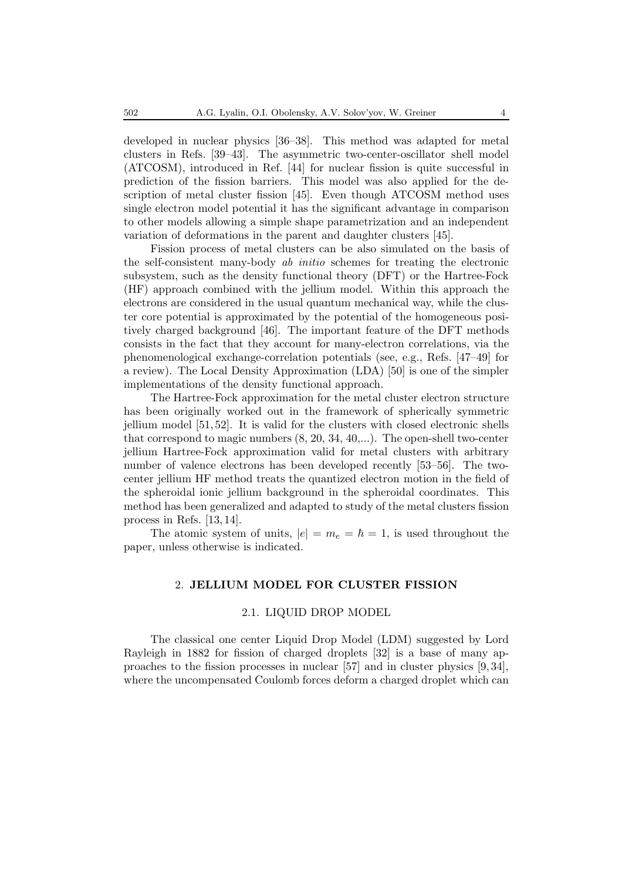developed in nuclear physics [36–38]. This method was adapted for metal clusters in Refs. [39–43]. The asymmetric two-center-oscillator shell model (ATCOSM), introduced in Ref. [44] for nuclear fission is quite successful in prediction of the fission barriers. This model was also applied for the description of metal cluster fission [45]. Even though ATCOSM method uses single electron model potential it has the significant advantage in comparison to other models allowing a simple shape parametrization and an independent variation of deformations in the parent and daughter clusters [45].

Fission process of metal clusters can be also simulated on the basis of the self-consistent many-body *ab initio* schemes for treating the electronic subsystem, such as the density functional theory (DFT) or the Hartree-Fock (HF) approach combined with the jellium model. Within this approach the electrons are considered in the usual quantum mechanical way, while the cluster core potential is approximated by the potential of the homogeneous positively charged background [46]. The important feature of the DFT methods consists in the fact that they account for many-electron correlations, via the phenomenological exchange-correlation potentials (see, e.g., Refs. [47–49] for a review). The Local Density Approximation (LDA) [50] is one of the simpler implementations of the density functional approach.

The Hartree-Fock approximation for the metal cluster electron structure has been originally worked out in the framework of spherically symmetric jellium model [51, 52]. It is valid for the clusters with closed electronic shells that correspond to magic numbers (8, 20, 34, 40,...). The open-shell two-center jellium Hartree-Fock approximation valid for metal clusters with arbitrary number of valence electrons has been developed recently [53–56]. The twocenter jellium HF method treats the quantized electron motion in the field of the spheroidal ionic jellium background in the spheroidal coordinates. This method has been generalized and adapted to study of the metal clusters fission process in Refs. [13, 14].

The atomic system of units,  $|e| = m_e = \hbar = 1$ , is used throughout the paper, unless otherwise is indicated.

## 2. **JELLIUM MODEL FOR CLUSTER FISSION**

# 2.1. LIQUID DROP MODEL

The classical one center Liquid Drop Model (LDM) suggested by Lord Rayleigh in 1882 for fission of charged droplets [32] is a base of many approaches to the fission processes in nuclear [57] and in cluster physics [9, 34], where the uncompensated Coulomb forces deform a charged droplet which can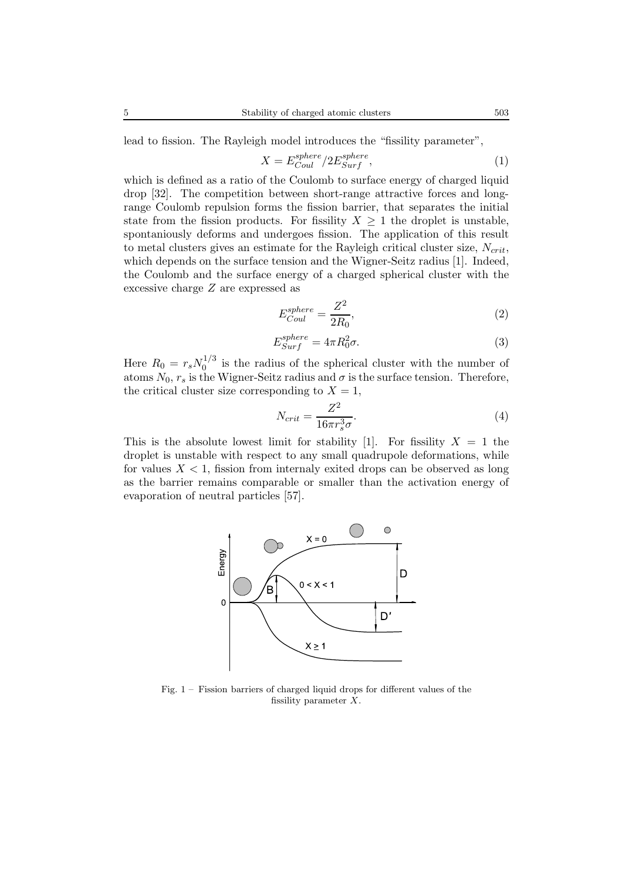lead to fission. The Rayleigh model introduces the "fissility parameter",

$$
X = E_{Coul}^{sphere} / 2E_{Surf}^{sphere},\tag{1}
$$

which is defined as a ratio of the Coulomb to surface energy of charged liquid drop [32]. The competition between short-range attractive forces and longrange Coulomb repulsion forms the fission barrier, that separates the initial state from the fission products. For fissility  $X \geq 1$  the droplet is unstable, spontaniously deforms and undergoes fission. The application of this result to metal clusters gives an estimate for the Rayleigh critical cluster size, N*crit*, which depends on the surface tension and the Wigner-Seitz radius [1]. Indeed, the Coulomb and the surface energy of a charged spherical cluster with the excessive charge Z are expressed as

$$
E_{Coul}^{sphere} = \frac{Z^2}{2R_0},\tag{2}
$$

$$
E_{Surf}^{sphere} = 4\pi R_0^2 \sigma.
$$
\n(3)

Here  $R_0 = r_s N_0^{1/3}$  is the radius of the spherical cluster with the number of atoms  $N_0$ ,  $r_s$  is the Wigner-Seitz radius and  $\sigma$  is the surface tension. Therefore, the critical cluster size corresponding to  $X = 1$ ,

$$
N_{crit} = \frac{Z^2}{16\pi r_s^3 \sigma}.\tag{4}
$$

This is the absolute lowest limit for stability [1]. For fissility  $X = 1$  the droplet is unstable with respect to any small quadrupole deformations, while for values  $X \leq 1$ , fission from internaly exited drops can be observed as long as the barrier remains comparable or smaller than the activation energy of evaporation of neutral particles [57].



Fig. 1 – Fission barriers of charged liquid drops for different values of the fissility parameter X.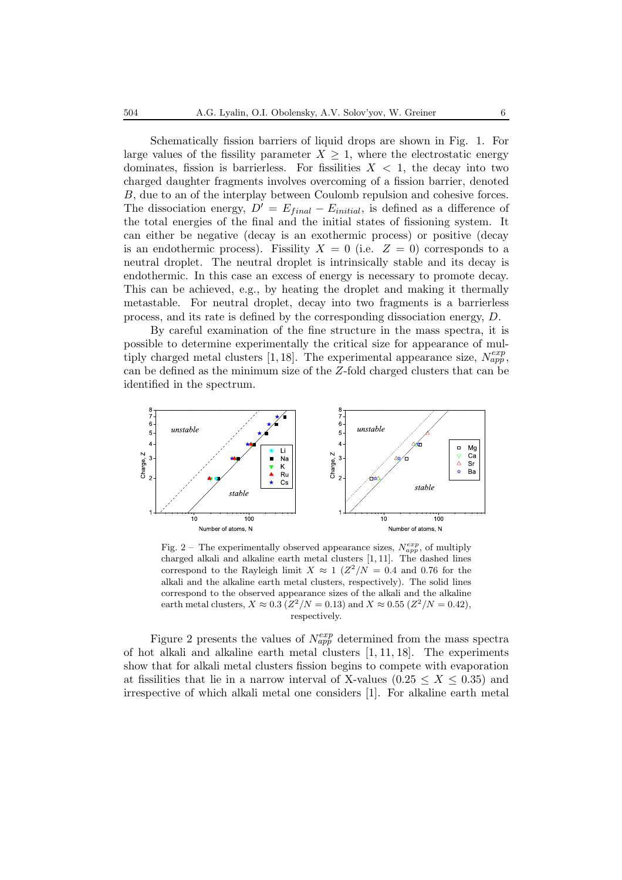Schematically fission barriers of liquid drops are shown in Fig. 1. For large values of the fissility parameter  $X \geq 1$ , where the electrostatic energy dominates, fission is barrierless. For fissilities  $X < 1$ , the decay into two charged daughter fragments involves overcoming of a fission barrier, denoted B, due to an of the interplay between Coulomb repulsion and cohesive forces. The dissociation energy,  $D' = E_{final} - E_{initial}$ , is defined as a difference of the total energies of the final and the initial states of fissioning system. It can either be negative (decay is an exothermic process) or positive (decay is an endothermic process). Fissility  $X = 0$  (i.e.  $Z = 0$ ) corresponds to a neutral droplet. The neutral droplet is intrinsically stable and its decay is endothermic. In this case an excess of energy is necessary to promote decay. This can be achieved, e.g., by heating the droplet and making it thermally metastable. For neutral droplet, decay into two fragments is a barrierless process, and its rate is defined by the corresponding dissociation energy, D.

By careful examination of the fine structure in the mass spectra, it is possible to determine experimentally the critical size for appearance of multiply charged metal clusters  $[1, 18]$ . The experimental appearance size,  $N_{app}^{exp}$ , can be defined as the minimum size of the Z-fold charged clusters that can be identified in the spectrum.



Fig. 2 – The experimentally observed appearance sizes,  $N_{app}^{exp}$ , of multiply charged alkali and alkaline earth metal clusters [1, 11]. The dashed lines correspond to the Rayleigh limit  $X \approx 1$  ( $Z^2/N = 0.4$  and 0.76 for the alkali and the alkaline earth metal clusters, respectively). The solid lines correspond to the observed appearance sizes of the alkali and the alkaline earth metal clusters,  $X \approx 0.3 (Z^2/N = 0.13)$  and  $X \approx 0.55 (Z^2/N = 0.42)$ , respectively.

Figure 2 presents the values of  $N_{app}^{exp}$  determined from the mass spectra of hot alkali and alkaline earth metal clusters [1, 11, 18]. The experiments show that for alkali metal clusters fission begins to compete with evaporation at fissilities that lie in a narrow interval of X-values  $(0.25 \le X \le 0.35)$  and irrespective of which alkali metal one considers [1]. For alkaline earth metal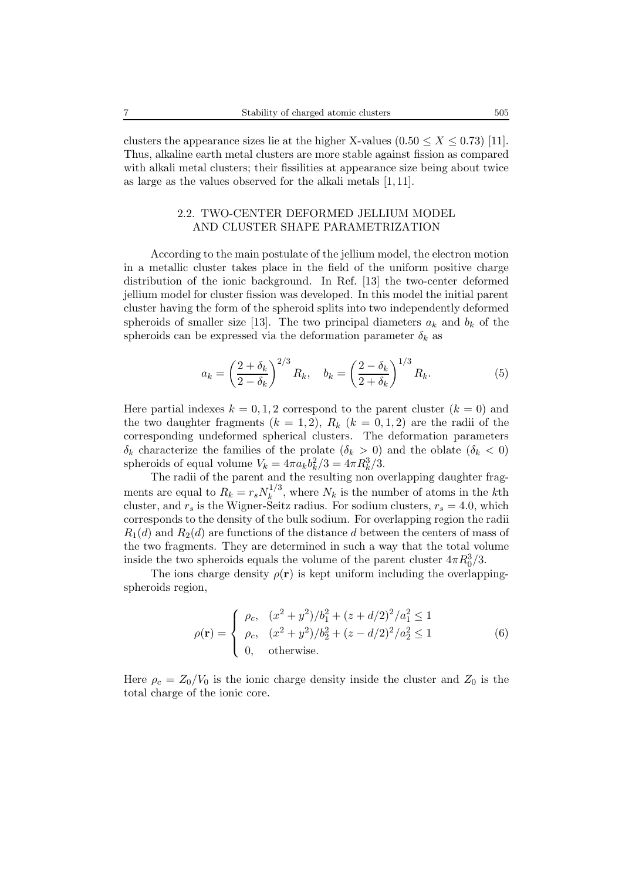clusters the appearance sizes lie at the higher X-values  $(0.50 \le X \le 0.73)$  [11]. Thus, alkaline earth metal clusters are more stable against fission as compared with alkali metal clusters; their fissilities at appearance size being about twice as large as the values observed for the alkali metals [1, 11].

# 2.2. TWO-CENTER DEFORMED JELLIUM MODEL AND CLUSTER SHAPE PARAMETRIZATION

According to the main postulate of the jellium model, the electron motion in a metallic cluster takes place in the field of the uniform positive charge distribution of the ionic background. In Ref. [13] the two-center deformed jellium model for cluster fission was developed. In this model the initial parent cluster having the form of the spheroid splits into two independently deformed spheroids of smaller size [13]. The two principal diameters  $a_k$  and  $b_k$  of the spheroids can be expressed via the deformation parameter  $\delta_k$  as

$$
a_k = \left(\frac{2+\delta_k}{2-\delta_k}\right)^{2/3} R_k, \quad b_k = \left(\frac{2-\delta_k}{2+\delta_k}\right)^{1/3} R_k.
$$
 (5)

Here partial indexes  $k = 0, 1, 2$  correspond to the parent cluster  $(k = 0)$  and the two daughter fragments  $(k = 1, 2)$ ,  $R_k$   $(k = 0, 1, 2)$  are the radii of the corresponding undeformed spherical clusters. The deformation parameters δ*<sup>k</sup>* characterize the families of the prolate (δ*<sup>k</sup>* > 0) and the oblate (δ*<sup>k</sup>* < 0) spheroids of equal volume  $V_k = 4\pi a_k b_k^2/3 = 4\pi R_k^3/3$ .

The radii of the parent and the resulting non overlapping daughter fragments are equal to  $R_k = r_s N_k^{1/3}$ , where  $N_k$  is the number of atoms in the kth cluster, and  $r_s$  is the Wigner-Seitz radius. For sodium clusters,  $r_s = 4.0$ , which corresponds to the density of the bulk sodium. For overlapping region the radii  $R_1(d)$  and  $R_2(d)$  are functions of the distance d between the centers of mass of the two fragments. They are determined in such a way that the total volume inside the two spheroids equals the volume of the parent cluster  $4\pi R_0^3/3$ .

The ions charge density  $\rho(\mathbf{r})$  is kept uniform including the overlappingspheroids region,

$$
\rho(\mathbf{r}) = \begin{cases}\n\rho_c, & (x^2 + y^2)/b_1^2 + (z + d/2)^2/a_1^2 \le 1 \\
\rho_c, & (x^2 + y^2)/b_2^2 + (z - d/2)^2/a_2^2 \le 1 \\
0, & \text{otherwise.} \n\end{cases}
$$
\n(6)

Here  $\rho_c = Z_0/V_0$  is the ionic charge density inside the cluster and  $Z_0$  is the total charge of the ionic core.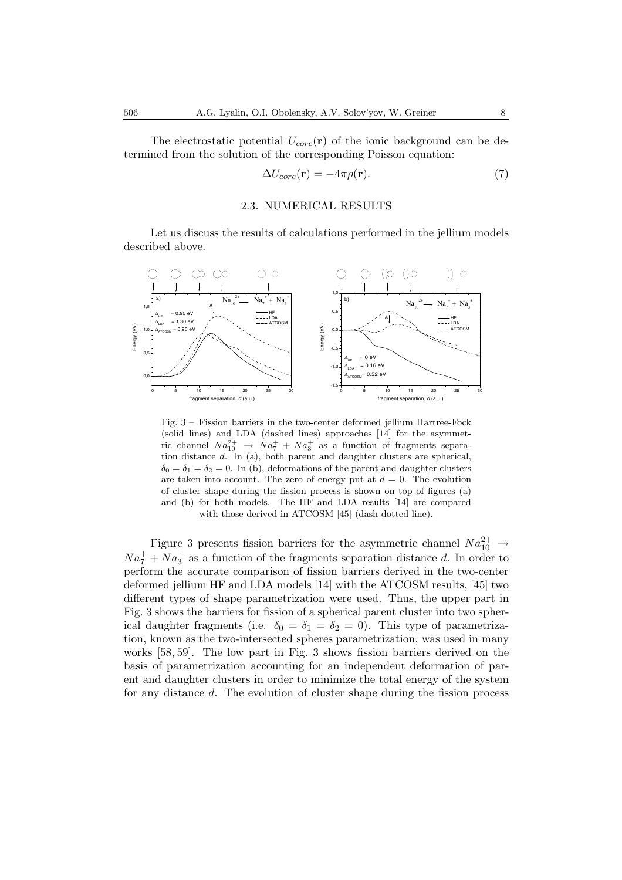The electrostatic potential  $U_{core}(\mathbf{r})$  of the ionic background can be determined from the solution of the corresponding Poisson equation:

$$
\Delta U_{core}(\mathbf{r}) = -4\pi \rho(\mathbf{r}).\tag{7}
$$

## 2.3. NUMERICAL RESULTS

Let us discuss the results of calculations performed in the jellium models described above.



Fig. 3 – Fission barriers in the two-center deformed jellium Hartree-Fock (solid lines) and LDA (dashed lines) approaches [14] for the asymmetric channel  $Na_{10}^{2+} \rightarrow Na_7^+ + Na_3^+$  as a function of fragments separation distance d. In (a), both parent and daughter clusters are spherical,  $\delta_0 = \delta_1 = \delta_2 = 0$ . In (b), deformations of the parent and daughter clusters are taken into account. The zero of energy put at  $d = 0$ . The evolution of cluster shape during the fission process is shown on top of figures (a) and (b) for both models. The HF and LDA results [14] are compared with those derived in ATCOSM [45] (dash-dotted line).

Figure 3 presents fission barriers for the asymmetric channel  $Na_{10}^{2+} \rightarrow Na_{7}^{+} + Na_{3}^{+}$  as a function of the fragments separation distance d. In order to perform the accurate comparison of fission barriers derived in the two-center deformed jellium HF and LDA models [14] with the ATCOSM results, [45] two different types of shape parametrization were used. Thus, the upper part in Fig. 3 shows the barriers for fission of a spherical parent cluster into two spherical daughter fragments (i.e.  $\delta_0 = \delta_1 = \delta_2 = 0$ ). This type of parametrization, known as the two-intersected spheres parametrization, was used in many works [58, 59]. The low part in Fig. 3 shows fission barriers derived on the basis of parametrization accounting for an independent deformation of parent and daughter clusters in order to minimize the total energy of the system for any distance d. The evolution of cluster shape during the fission process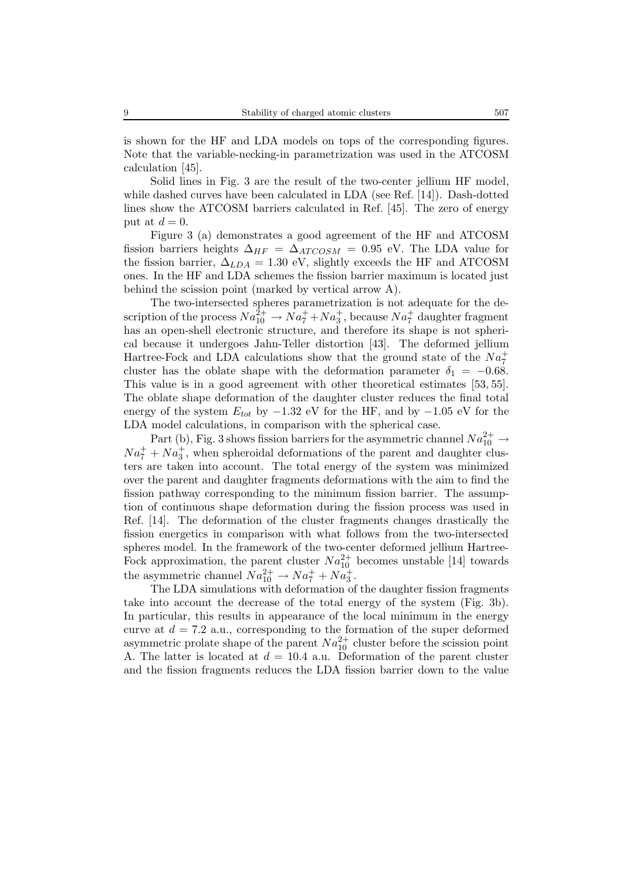is shown for the HF and LDA models on tops of the corresponding figures. Note that the variable-necking-in parametrization was used in the ATCOSM calculation [45].

Solid lines in Fig. 3 are the result of the two-center jellium HF model, while dashed curves have been calculated in LDA (see Ref. [14]). Dash-dotted lines show the ATCOSM barriers calculated in Ref. [45]. The zero of energy put at  $d = 0$ .

Figure 3 (a) demonstrates a good agreement of the HF and ATCOSM fission barriers heights  $\Delta_{HF} = \Delta_{ATCOSM} = 0.95$  eV. The LDA value for the fission barrier,  $\Delta_{LDA} = 1.30$  eV, slightly exceeds the HF and ATCOSM ones. In the HF and LDA schemes the fission barrier maximum is located just behind the scission point (marked by vertical arrow A).

The two-intersected spheres parametrization is not adequate for the description of the process  $Na_{10}^{2+} \rightarrow Na_{7}^{+} +Na_{3}^{+}$ , because  $Na_{7}^{+}$  daughter fragment has an open-shell electronic structure, and therefore its shape is not spherical because it undergoes Jahn-Teller distortion [43]. The deformed jellium Hartree-Fock and LDA calculations show that the ground state of the  $Na<sub>7</sub><sup>+</sup>$ cluster has the oblate shape with the deformation parameter  $\delta_1 = -0.68$ . This value is in a good agreement with other theoretical estimates [53, 55]. The oblate shape deformation of the daughter cluster reduces the final total energy of the system <sup>E</sup>*tot* by <sup>−</sup>1.32 eV for the HF, and by <sup>−</sup>1.05 eV for the LDA model calculations, in comparison with the spherical case.

Part (b), Fig. 3 shows fission barriers for the asymmetric channel  $Na_{10}^{2+} \rightarrow$  $Na<sub>7</sub><sup>+</sup> + Na<sub>3</sub><sup>+</sup>$ , when spheroidal deformations of the parent and daughter clusters are taken into account. The total energy of the system was minimized over the parent and daughter fragments deformations with the aim to find the fission pathway corresponding to the minimum fission barrier. The assumption of continuous shape deformation during the fission process was used in Ref. [14]. The deformation of the cluster fragments changes drastically the fission energetics in comparison with what follows from the two-intersected spheres model. In the framework of the two-center deformed jellium Hartree-Fock approximation, the parent cluster  $Na_{10}^{2+}$  becomes unstable [14] towards the asymmetric channel  $Na_{10}^{2+} \rightarrow Na_{7}^{+} + Na_{3}^{+}$ .

The LDA simulations with deformation of the daughter fission fragments take into account the decrease of the total energy of the system (Fig. 3b). In particular, this results in appearance of the local minimum in the energy curve at  $d = 7.2$  a.u., corresponding to the formation of the super deformed asymmetric prolate shape of the parent  $Na_{10}^{2+}$  cluster before the scission point A. The latter is located at  $d = 10.4$  a.u. Deformation of the parent cluster and the fission fragments reduces the LDA fission barrier down to the value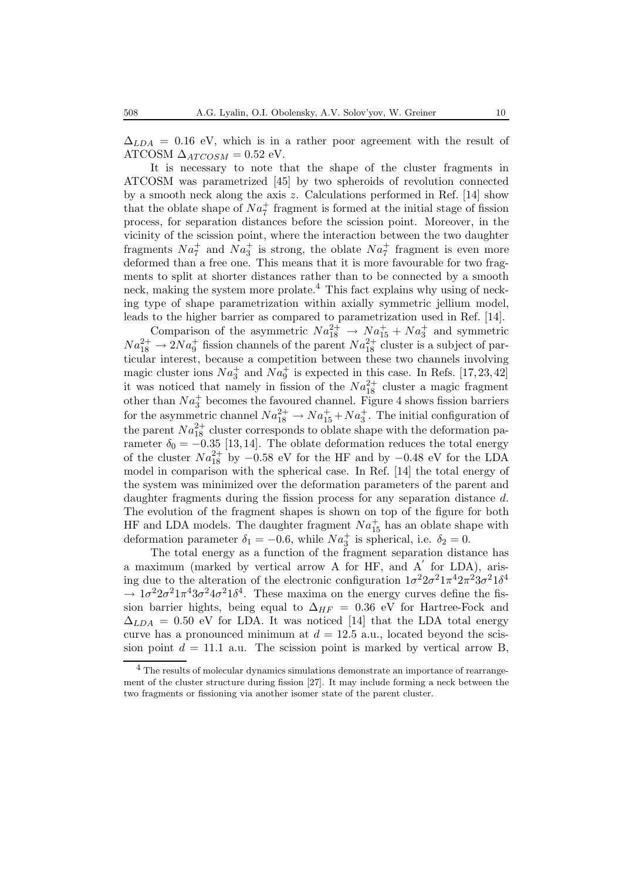$\Delta_{LDA}$  = 0.16 eV, which is in a rather poor agreement with the result of ATCOSM  $\Delta_{ATCOSM} = 0.52$  eV.

It is necessary to note that the shape of the cluster fragments in ATCOSM was parametrized [45] by two spheroids of revolution connected by a smooth neck along the axis z. Calculations performed in Ref. [14] show that the oblate shape of  $Na<sub>7</sub><sup>+</sup>$  fragment is formed at the initial stage of fission process, for separation distances before the scission point. Moreover, in the vicinity of the scission point, where the interaction between the two daughter fragments  $Na<sub>7</sub><sup>+</sup>$  and  $Na<sub>3</sub><sup>+</sup>$  is strong, the oblate  $Na<sub>7</sub><sup>+</sup>$  fragment is even more deformed than a free one. This means that it is more favourable for two fragments to split at shorter distances rather than to be connected by a smooth neck, making the system more prolate.<sup>4</sup> This fact explains why using of necking type of shape parametrization within axially symmetric jellium model, leads to the higher barrier as compared to parametrization used in Ref. [14].

Comparison of the asymmetric  $Na_{18}^{2+} \rightarrow Na_{15}^{+} + Na_{3}^{+}$  and symmetric  $Na_{18}^{2+} \rightarrow 2Na_9^+$  fission channels of the parent  $Na_{18}^{2+}$  cluster is a subject of particular interest, because a competition between these two channels involving magic cluster ions  $Na_3^+$  and  $Na_9^+$  is expected in this case. In Refs. [17, 23, 42] it was noticed that namely in fission of the  $Na_{18}^{2+}$  cluster a magic fragment other than  $Na<sub>3</sub><sup>+</sup>$  becomes the favoured channel. Figure 4 shows fission barriers for the asymmetric channel  $Na_{18}^{2+} \rightarrow Na_{15}^{+} + Na_{3}^{+}$ . The initial configuration of the parent  $Na_{18}^{2+}$  cluster corresponds to oblate shape with the deformation parameter  $\delta_0 = -0.35$  [13, 14]. The oblate deformation reduces the total energy of the cluster  $Na_{18}^{2+}$  by  $-0.58$  eV for the HF and by  $-0.48$  eV for the LDA model in comparison with the spherical case. In Ref. [14] the total energy of the system was minimized over the deformation parameters of the parent and daughter fragments during the fission process for any separation distance d. The evolution of the fragment shapes is shown on top of the figure for both HF and LDA models. The daughter fragment  $Na<sub>15</sub><sup>+</sup>$  has an oblate shape with deformation parameter  $\delta_1 = -0.6$ , while  $Na_3^+$  is spherical, i.e.  $\delta_2 = 0$ .

The total energy as a function of the fragment separation distance has a maximum (marked by vertical arrow A for HF, and A' for LDA), arising due to the alteration of the electronic configuration  $1\sigma^2 2\sigma^2 1\pi^4 2\pi^2 3\sigma^2 1\delta^4$  $\rightarrow 1\sigma^2 2\sigma^2 1\pi^4 3\sigma^2 4\sigma^2 1\delta^4$ . These maxima on the energy curves define the fission barrier hights, being equal to  $\Delta_{HF} = 0.36$  eV for Hartree-Fock and  $\Delta_{LDA}$  = 0.50 eV for LDA. It was noticed [14] that the LDA total energy curve has a pronounced minimum at  $d = 12.5$  a.u., located beyond the scission point  $d = 11.1$  a.u. The scission point is marked by vertical arrow B,

<sup>4</sup> The results of molecular dynamics simulations demonstrate an importance of rearrangement of the cluster structure during fission [27]. It may include forming a neck between the two fragments or fissioning via another isomer state of the parent cluster.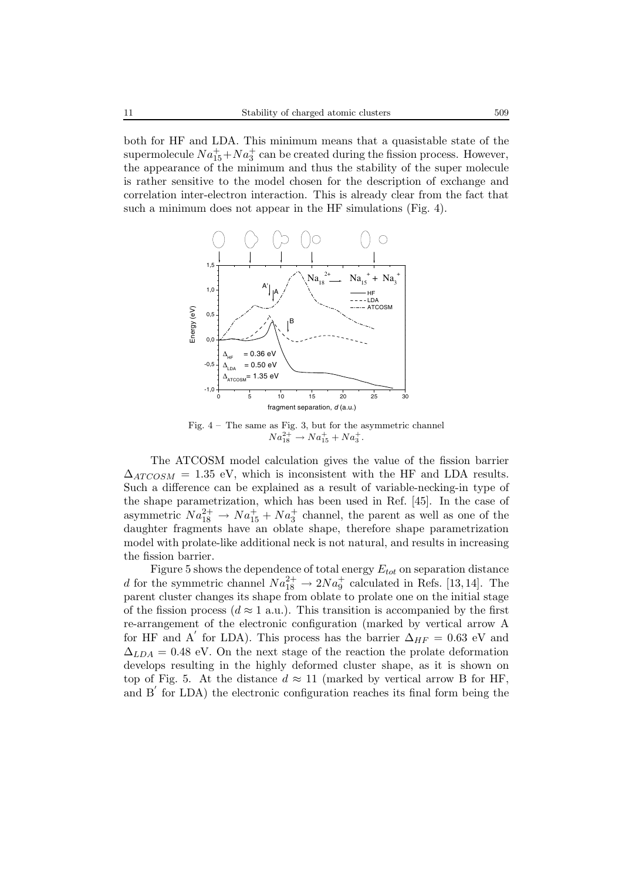both for HF and LDA. This minimum means that a quasistable state of the supermolecule  $Na_{15}^+ + Na_3^+$  can be created during the fission process. However, the appearance of the minimum and thus the stability of the super molecule is rather sensitive to the model chosen for the description of exchange and correlation inter-electron interaction. This is already clear from the fact that such a minimum does not appear in the HF simulations (Fig. 4).



Fig. 4 – The same as Fig. 3, but for the asymmetric channel  $Na_{18}^{2+} \rightarrow Na_{15}^{+} + Na_{3}^{+}.$ 

The ATCOSM model calculation gives the value of the fission barrier  $\Delta_{ATCOSM} = 1.35$  eV, which is inconsistent with the HF and LDA results. Such a difference can be explained as a result of variable-necking-in type of the shape parametrization, which has been used in Ref. [45]. In the case of asymmetric  $Na_{18}^{2+} \rightarrow Na_{15}^{+} + Na_{3}^{+}$  channel, the parent as well as one of the daughter fragments have an oblate shape, therefore shape parametrization model with prolate-like additional neck is not natural, and results in increasing the fission barrier.

Figure 5 shows the dependence of total energy E*tot* on separation distance d for the symmetric channel  $Na_{18}^{2+} \rightarrow 2Na_9^+$  calculated in Refs. [13, 14]. The parent cluster changes its shape from oblate to prolate one on the initial stage of the fission process ( $d \approx 1$  a.u.). This transition is accompanied by the first re-arrangement of the electronic configuration (marked by vertical arrow A for HF and A' for LDA). This process has the barrier  $\Delta_{HF} = 0.63$  eV and  $\Delta_{LDA} = 0.48$  eV. On the next stage of the reaction the prolate deformation develops resulting in the highly deformed cluster shape, as it is shown on top of Fig. 5. At the distance  $d \approx 11$  (marked by vertical arrow B for HF, and  $B'$  for LDA) the electronic configuration reaches its final form being the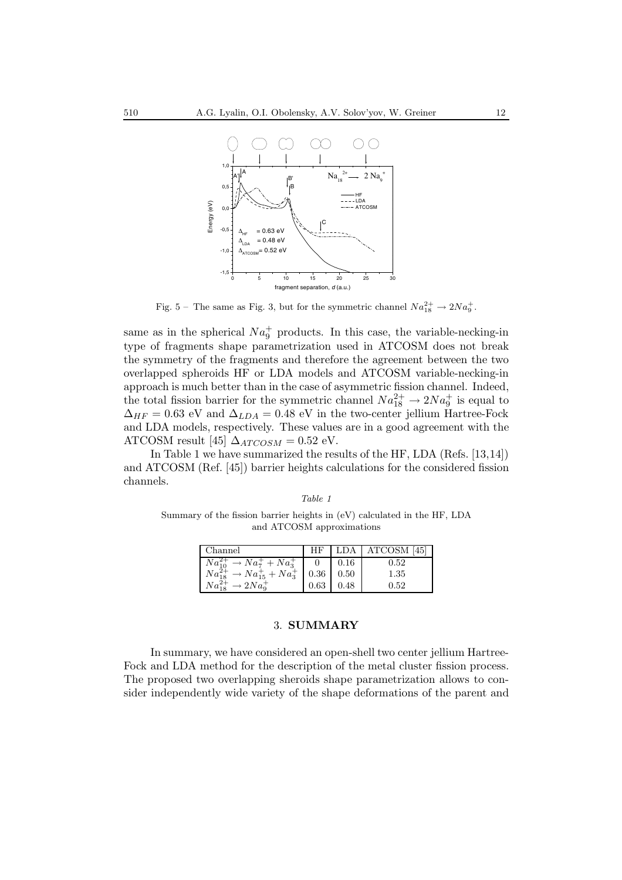

Fig. 5 – The same as Fig. 3, but for the symmetric channel  $Na_{18}^{2+} \rightarrow 2Na_9^+$ .

same as in the spherical  $Na<sub>9</sub><sup>+</sup>$  products. In this case, the variable-necking-in type of fragments shape parametrization used in ATCOSM does not break the symmetry of the fragments and therefore the agreement between the two overlapped spheroids HF or LDA models and ATCOSM variable-necking-in approach is much better than in the case of asymmetric fission channel. Indeed, the total fission barrier for the symmetric channel  $Na_{18}^{2+} \rightarrow 2Na_{9}^{+}$  is equal to  $\Delta_{HF} = 0.63$  eV and  $\Delta_{LDA} = 0.48$  eV in the two-center jellium Hartree-Fock and LDA models, respectively. These values are in a good agreement with the ATCOSM result [45]  $\Delta_{ATCOSM} = 0.52$  eV.

In Table 1 we have summarized the results of the HF, LDA (Refs. [13,14]) and ATCOSM (Ref. [45]) barrier heights calculations for the considered fission channels.

Table 1 Summary of the fission barrier heights in (eV) calculated in the HF, LDA and ATCOSM approximations

| Channel                                             | ΗF              |      | $LDA$   ATCOSM [45] |
|-----------------------------------------------------|-----------------|------|---------------------|
| $Na_{10}^{2+} \rightarrow Na_7^+ + Na_3^+$          |                 | 0.16 | 0.52                |
| $Na_{18}^{2+} \rightarrow Na_{15}^{+} + Na_{3}^{+}$ | $0.36 \pm 0.50$ |      | 1.35                |
| $\rightarrow 2Na_9^+$                               | 0.63            | 0.48 | 0.52                |

### 3. **SUMMARY**

In summary, we have considered an open-shell two center jellium Hartree-Fock and LDA method for the description of the metal cluster fission process. The proposed two overlapping sheroids shape parametrization allows to consider independently wide variety of the shape deformations of the parent and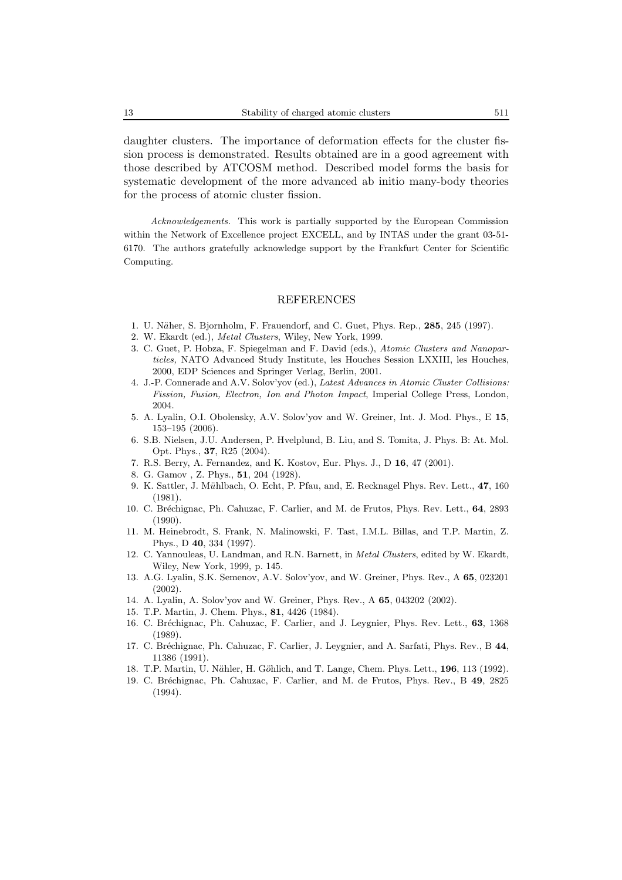daughter clusters. The importance of deformation effects for the cluster fission process is demonstrated. Results obtained are in a good agreement with those described by ATCOSM method. Described model forms the basis for systematic development of the more advanced ab initio many-body theories for the process of atomic cluster fission.

Acknowledgements. This work is partially supported by the European Commission within the Network of Excellence project EXCELL, and by INTAS under the grant 03-51- 6170. The authors gratefully acknowledge support by the Frankfurt Center for Scientific Computing.

#### REFERENCES

- 1. U. N¨aher, S. Bjornholm, F. Frauendorf, and C. Guet, Phys. Rep., **285**, 245 (1997).
- 2. W. Ekardt (ed.), Metal Clusters, Wiley, New York, 1999.
- 3. C. Guet, P. Hobza, F. Spiegelman and F. David (eds.), Atomic Clusters and Nanoparticles, NATO Advanced Study Institute, les Houches Session LXXIII, les Houches, 2000, EDP Sciences and Springer Verlag, Berlin, 2001.
- 4. J.-P. Connerade and A.V. Solov'yov (ed.), Latest Advances in Atomic Cluster Collisions: Fission, Fusion, Electron, Ion and Photon Impact, Imperial College Press, London, 2004.
- 5. A. Lyalin, O.I. Obolensky, A.V. Solov'yov and W. Greiner, Int. J. Mod. Phys., E **15**, 153–195 (2006).
- 6. S.B. Nielsen, J.U. Andersen, P. Hvelplund, B. Liu, and S. Tomita, J. Phys. B: At. Mol. Opt. Phys., **37**, R25 (2004).
- 7. R.S. Berry, A. Fernandez, and K. Kostov, Eur. Phys. J., D **16**, 47 (2001).
- 8. G. Gamov , Z. Phys., **51**, 204 (1928).
- 9. K. Sattler, J. M¨uhlbach, O. Echt, P. Pfau, and, E. Recknagel Phys. Rev. Lett., **47**, 160 (1981).
- 10. C. Bréchignac, Ph. Cahuzac, F. Carlier, and M. de Frutos, Phys. Rev. Lett., 64, 2893 (1990).
- 11. M. Heinebrodt, S. Frank, N. Malinowski, F. Tast, I.M.L. Billas, and T.P. Martin, Z. Phys., D **40**, 334 (1997).
- 12. C. Yannouleas, U. Landman, and R.N. Barnett, in Metal Clusters, edited by W. Ekardt, Wiley, New York, 1999, p. 145.
- 13. A.G. Lyalin, S.K. Semenov, A.V. Solov'yov, and W. Greiner, Phys. Rev., A **65**, 023201 (2002).
- 14. A. Lyalin, A. Solov'yov and W. Greiner, Phys. Rev., A **65**, 043202 (2002).
- 15. T.P. Martin, J. Chem. Phys., **81**, 4426 (1984).
- 16. C. Br´echignac, Ph. Cahuzac, F. Carlier, and J. Leygnier, Phys. Rev. Lett., **63**, 1368 (1989).
- 17. C. Br´echignac, Ph. Cahuzac, F. Carlier, J. Leygnier, and A. Sarfati, Phys. Rev., B **44**, 11386 (1991).
- 18. T.P. Martin, U. Nähler, H. Göhlich, and T. Lange, Chem. Phys. Lett., **196**, 113 (1992).
- 19. C. Br´echignac, Ph. Cahuzac, F. Carlier, and M. de Frutos, Phys. Rev., B **49**, 2825 (1994).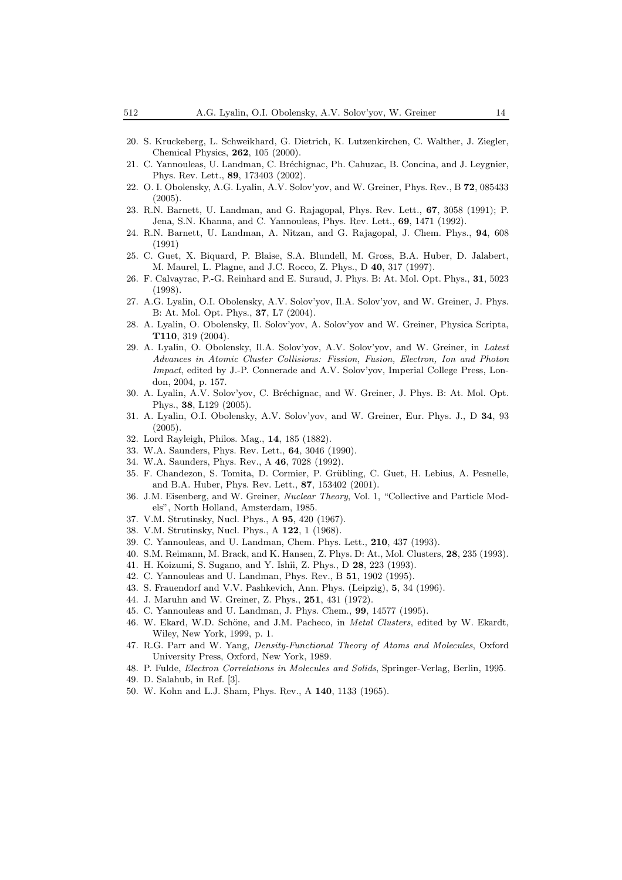- 20. S. Kruckeberg, L. Schweikhard, G. Dietrich, K. Lutzenkirchen, C. Walther, J. Ziegler, Chemical Physics, **262**, 105 (2000).
- 21. C. Yannouleas, U. Landman, C. Bréchignac, Ph. Cahuzac, B. Concina, and J. Leygnier, Phys. Rev. Lett., **89**, 173403 (2002).
- 22. O. I. Obolensky, A.G. Lyalin, A.V. Solov'yov, and W. Greiner, Phys. Rev., B **72**, 085433 (2005).
- 23. R.N. Barnett, U. Landman, and G. Rajagopal, Phys. Rev. Lett., **67**, 3058 (1991); P. Jena, S.N. Khanna, and C. Yannouleas, Phys. Rev. Lett., **69**, 1471 (1992).
- 24. R.N. Barnett, U. Landman, A. Nitzan, and G. Rajagopal, J. Chem. Phys., **94**, 608 (1991)
- 25. C. Guet, X. Biquard, P. Blaise, S.A. Blundell, M. Gross, B.A. Huber, D. Jalabert, M. Maurel, L. Plagne, and J.C. Rocco, Z. Phys., D **40**, 317 (1997).
- 26. F. Calvayrac, P.-G. Reinhard and E. Suraud, J. Phys. B: At. Mol. Opt. Phys., **31**, 5023 (1998).
- 27. A.G. Lyalin, O.I. Obolensky, A.V. Solov'yov, Il.A. Solov'yov, and W. Greiner, J. Phys. B: At. Mol. Opt. Phys., **37**, L7 (2004).
- 28. A. Lyalin, O. Obolensky, Il. Solov'yov, A. Solov'yov and W. Greiner, Physica Scripta, **T110**, 319 (2004).
- 29. A. Lyalin, O. Obolensky, Il.A. Solov'yov, A.V. Solov'yov, and W. Greiner, in Latest Advances in Atomic Cluster Collisions: Fission, Fusion, Electron, Ion and Photon Impact, edited by J.-P. Connerade and A.V. Solov'yov, Imperial College Press, London, 2004, p. 157.
- 30. A. Lyalin, A.V. Solov'yov, C. Bréchignac, and W. Greiner, J. Phys. B: At. Mol. Opt. Phys., **38**, L129 (2005).
- 31. A. Lyalin, O.I. Obolensky, A.V. Solov'yov, and W. Greiner, Eur. Phys. J., D **34**, 93 (2005).
- 32. Lord Rayleigh, Philos. Mag., **14**, 185 (1882).
- 33. W.A. Saunders, Phys. Rev. Lett., **64**, 3046 (1990).
- 34. W.A. Saunders, Phys. Rev., A **46**, 7028 (1992).
- 35. F. Chandezon, S. Tomita, D. Cormier, P. Grübling, C. Guet, H. Lebius, A. Pesnelle, and B.A. Huber, Phys. Rev. Lett., **87**, 153402 (2001).
- 36. J.M. Eisenberg, and W. Greiner, Nuclear Theory, Vol. 1, "Collective and Particle Models", North Holland, Amsterdam, 1985.
- 37. V.M. Strutinsky, Nucl. Phys., A **95**, 420 (1967).
- 38. V.M. Strutinsky, Nucl. Phys., A **122**, 1 (1968).
- 39. C. Yannouleas, and U. Landman, Chem. Phys. Lett., **210**, 437 (1993).
- 40. S.M. Reimann, M. Brack, and K. Hansen, Z. Phys. D: At., Mol. Clusters, **28**, 235 (1993).
- 41. H. Koizumi, S. Sugano, and Y. Ishii, Z. Phys., D **28**, 223 (1993).
- 42. C. Yannouleas and U. Landman, Phys. Rev., B **51**, 1902 (1995).
- 43. S. Frauendorf and V.V. Pashkevich, Ann. Phys. (Leipzig), **5**, 34 (1996).
- 44. J. Maruhn and W. Greiner, Z. Phys., **251**, 431 (1972).
- 45. C. Yannouleas and U. Landman, J. Phys. Chem., **99**, 14577 (1995).
- 46. W. Ekard, W.D. Schöne, and J.M. Pacheco, in *Metal Clusters*, edited by W. Ekardt, Wiley, New York, 1999, p. 1.
- 47. R.G. Parr and W. Yang, Density-Functional Theory of Atoms and Molecules, Oxford University Press, Oxford, New York, 1989.
- 48. P. Fulde, Electron Correlations in Molecules and Solids, Springer-Verlag, Berlin, 1995.
- 49. D. Salahub, in Ref. [3].
- 50. W. Kohn and L.J. Sham, Phys. Rev., A **140**, 1133 (1965).